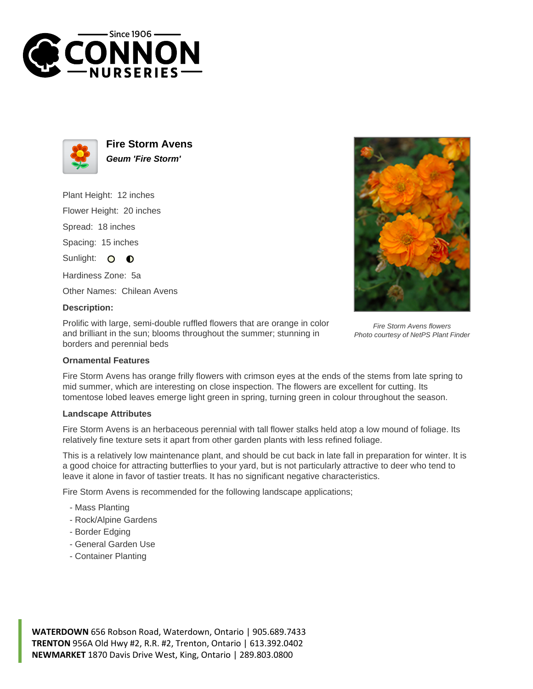



**Fire Storm Avens Geum 'Fire Storm'**

Plant Height: 12 inches

Flower Height: 20 inches

Spread: 18 inches

Spacing: 15 inches

Sunlight: O  $\bullet$ 

Hardiness Zone: 5a

Other Names: Chilean Avens

## **Description:**

Prolific with large, semi-double ruffled flowers that are orange in color and brilliant in the sun; blooms throughout the summer; stunning in borders and perennial beds



Fire Storm Avens flowers Photo courtesy of NetPS Plant Finder

## **Ornamental Features**

Fire Storm Avens has orange frilly flowers with crimson eyes at the ends of the stems from late spring to mid summer, which are interesting on close inspection. The flowers are excellent for cutting. Its tomentose lobed leaves emerge light green in spring, turning green in colour throughout the season.

## **Landscape Attributes**

Fire Storm Avens is an herbaceous perennial with tall flower stalks held atop a low mound of foliage. Its relatively fine texture sets it apart from other garden plants with less refined foliage.

This is a relatively low maintenance plant, and should be cut back in late fall in preparation for winter. It is a good choice for attracting butterflies to your yard, but is not particularly attractive to deer who tend to leave it alone in favor of tastier treats. It has no significant negative characteristics.

Fire Storm Avens is recommended for the following landscape applications;

- Mass Planting
- Rock/Alpine Gardens
- Border Edging
- General Garden Use
- Container Planting

**WATERDOWN** 656 Robson Road, Waterdown, Ontario | 905.689.7433 **TRENTON** 956A Old Hwy #2, R.R. #2, Trenton, Ontario | 613.392.0402 **NEWMARKET** 1870 Davis Drive West, King, Ontario | 289.803.0800